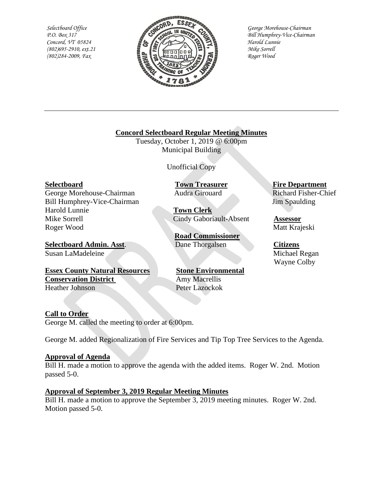*Selectboard Office P.O. Box 317 Concord, VT 05824 (802)695-2910, ext.21 (802)284-2009, Fax*



*George Morehouse-Chairman Bill Humphrey-Vice-Chairman Harold Lunnie Mike Sorrell Roger Wood*

# **Concord Selectboard Regular Meeting Minutes**

Tuesday, October 1, 2019 @ 6:00pm Municipal Building

Unofficial Copy

George Morehouse-Chairman Audra Girouard Richard Fisher-Chief Bill Humphrey-Vice-Chairman Jim Spaulding Harold Lunnie **Town Clerk** Mike Sorrell Cindy Gaboriault-Absent **Assessor** Roger Wood Matt Krajeski

**Selectboard Admin. Asst.** Dane Thorgalsen **Citizens** Susan LaMadeleine Michael Regan

#### **Essex County Natural Resources Stone Environmental Conservation District** Amy Macrellis Heather Johnson Peter Lazockok

**Selectboard Town Treasurer Fire Department**

**Road Commissioner**

Wayne Colby

# **Call to Order**

George M. called the meeting to order at 6:00pm.

George M. added Regionalization of Fire Services and Tip Top Tree Services to the Agenda.

# **Approval of Agenda**

Bill H. made a motion to approve the agenda with the added items. Roger W. 2nd. Motion passed 5-0.

# **Approval of September 3, 2019 Regular Meeting Minutes**

Bill H. made a motion to approve the September 3, 2019 meeting minutes. Roger W. 2nd. Motion passed 5-0.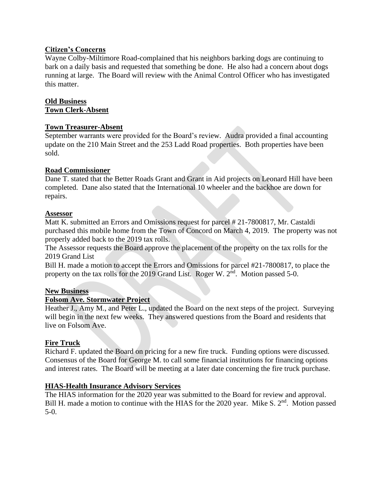# **Citizen's Concerns**

Wayne Colby-Miltimore Road-complained that his neighbors barking dogs are continuing to bark on a daily basis and requested that something be done. He also had a concern about dogs running at large. The Board will review with the Animal Control Officer who has investigated this matter.

## **Old Business Town Clerk-Absent**

### **Town Treasurer-Absent**

September warrants were provided for the Board's review. Audra provided a final accounting update on the 210 Main Street and the 253 Ladd Road properties. Both properties have been sold.

## **Road Commissioner**

Dane T. stated that the Better Roads Grant and Grant in Aid projects on Leonard Hill have been completed. Dane also stated that the International 10 wheeler and the backhoe are down for repairs.

### **Assessor**

Matt K. submitted an Errors and Omissions request for parcel # 21-7800817, Mr. Castaldi purchased this mobile home from the Town of Concord on March 4, 2019. The property was not properly added back to the 2019 tax rolls.

The Assessor requests the Board approve the placement of the property on the tax rolls for the 2019 Grand List

Bill H. made a motion to accept the Errors and Omissions for parcel #21-7800817, to place the property on the tax rolls for the 2019 Grand List. Roger W. 2<sup>nd</sup>. Motion passed 5-0.

### **New Business**

# **Folsom Ave. Stormwater Project**

Heather J., Amy M., and Peter L., updated the Board on the next steps of the project. Surveying will begin in the next few weeks. They answered questions from the Board and residents that live on Folsom Ave.

### **Fire Truck**

Richard F. updated the Board on pricing for a new fire truck. Funding options were discussed. Consensus of the Board for George M. to call some financial institutions for financing options and interest rates. The Board will be meeting at a later date concerning the fire truck purchase.

### **HIAS-Health Insurance Advisory Services**

The HIAS information for the 2020 year was submitted to the Board for review and approval. Bill H. made a motion to continue with the HIAS for the 2020 year. Mike S. 2<sup>nd</sup>. Motion passed 5-0.